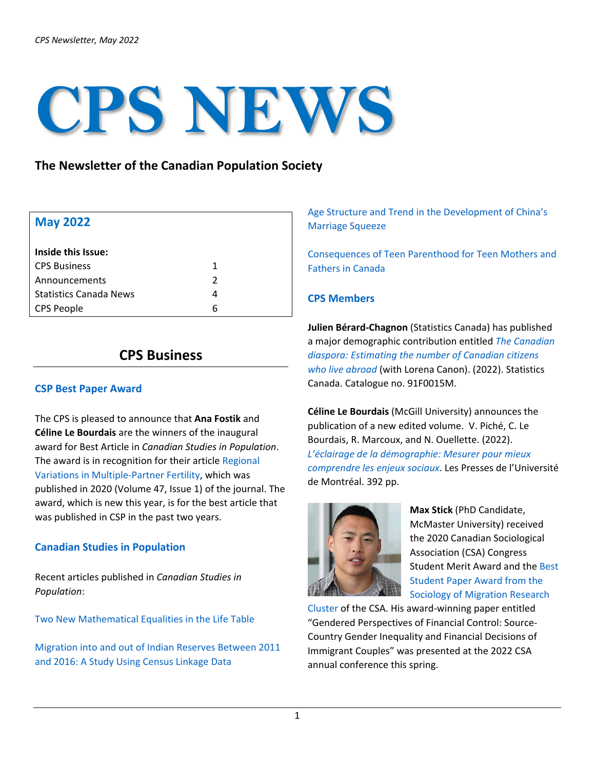# **CPS NEWS**

# **The Newsletter of the Canadian Population Society**

| <b>May 2022</b>               |               |
|-------------------------------|---------------|
| Inside this Issue:            |               |
| <b>CPS Business</b>           | 1             |
| Announcements                 | $\mathcal{P}$ |
| <b>Statistics Canada News</b> | 4             |
| <b>CPS People</b>             | 6             |

# **CPS Business**

#### **CSP Best Paper Award**

The CPS is pleased to announce that **Ana Fostik** and **Céline Le Bourdais** are the winners of the inaugural award for Best Article in *Canadian Studies in Population*. The award is in recognition for their article [Regional](https://link.springer.com/article/10.1007/s42650-020-00024-w)  [Variations in Multiple-Partner Fertility,](https://link.springer.com/article/10.1007/s42650-020-00024-w) which was published in 2020 (Volume 47, Issue 1) of the journal. The award, which is new this year, is for the best article that was published in CSP in the past two years.

# **Canadian Studies in Population**

Recent articles published in *Canadian Studies in Population*:

[Two New Mathematical Equalities in the Life Table](https://link.springer.com/article/10.1007/s42650-022-00065-3)

[Migration into and out of Indian Reserves Between 2011](https://link.springer.com/article/10.1007/s42650-022-00062-6)  [and 2016: A Study Using Census Linkage Data](https://link.springer.com/article/10.1007/s42650-022-00062-6)

[Age Structure and Trend in the Development of China's](https://link.springer.com/article/10.1007/s42650-022-00061-7)  [Marriage Squeeze](https://link.springer.com/article/10.1007/s42650-022-00061-7)

[Consequences of Teen Parenthood for Teen Mothers and](https://link.springer.com/article/10.1007/s42650-021-00060-0)  [Fathers in Canada](https://link.springer.com/article/10.1007/s42650-021-00060-0)

# **CPS Members**

**Julien Bérard-Chagnon** (Statistics Canada) has published a major demographic contribution entitled *[The Canadian](https://www150.statcan.gc.ca/n1/en/catalogue/91F0015M2022001)  [diaspora: Estimating the number of Canadian citizens](https://www150.statcan.gc.ca/n1/en/catalogue/91F0015M2022001)  [who live abroad](https://www150.statcan.gc.ca/n1/en/catalogue/91F0015M2022001)* (with Lorena Canon). (2022). Statistics Canada. Catalogue no. 91F0015M.

**Céline Le Bourdais** (McGill University) announces the publication of a new edited volume. V. Piché, C. Le Bourdais, R. Marcoux, and N. Ouellette. (2022). *[L'éclairage de la démographie: Mesurer pour mieux](https://www.pum.umontreal.ca/catalogue/eclairage_de_la_demographie_l)  [comprendre les enjeux sociaux](https://www.pum.umontreal.ca/catalogue/eclairage_de_la_demographie_l)*. Les Presses de l'Université de Montréal. 392 pp.



**Max Stick** (PhD Candidate, McMaster University) received the 2020 Canadian Sociological Association (CSA) Congress Student Merit Award and the [Best](https://www.csa-scs.ca/files/webapps/csapress/som/2022/05/05/2022-som-research-cluster-best-student-paper-award/)  [Student Paper Award from the](https://www.csa-scs.ca/files/webapps/csapress/som/2022/05/05/2022-som-research-cluster-best-student-paper-award/)  [Sociology of Migration Research](https://www.csa-scs.ca/files/webapps/csapress/som/2022/05/05/2022-som-research-cluster-best-student-paper-award/) 

[Cluster](https://www.csa-scs.ca/files/webapps/csapress/som/2022/05/05/2022-som-research-cluster-best-student-paper-award/) of the CSA. His award-winning paper entitled "Gendered Perspectives of Financial Control: Source-Country Gender Inequality and Financial Decisions of Immigrant Couples" was presented at the 2022 CSA annual conference this spring.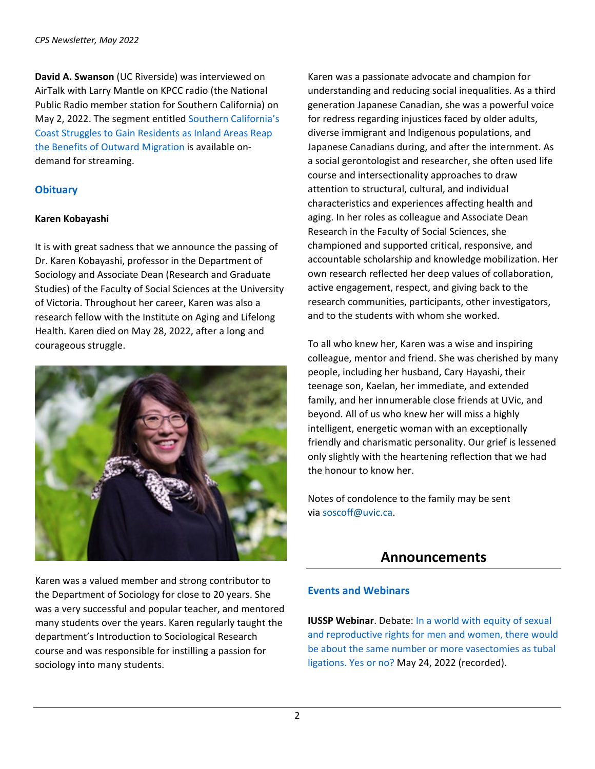**David A. Swanson** (UC Riverside) was interviewed on AirTalk with Larry Mantle on KPCC radio (the National Public Radio member station for Southern California) on May 2, 2022. The segment entitled [Southern California's](https://www.kpcc.org/show/airtalk/2022-05-02/california-has-zero-carbon-emission-goals-how-will-the-pending-closure-of-the-states-last-nuclear-plant-move-us-closer-or-further-from-those-goals)  [Coast Struggles to Gain Residents as Inland Areas Reap](https://www.kpcc.org/show/airtalk/2022-05-02/california-has-zero-carbon-emission-goals-how-will-the-pending-closure-of-the-states-last-nuclear-plant-move-us-closer-or-further-from-those-goals)  [the Benefits of Outward Migration](https://www.kpcc.org/show/airtalk/2022-05-02/california-has-zero-carbon-emission-goals-how-will-the-pending-closure-of-the-states-last-nuclear-plant-move-us-closer-or-further-from-those-goals) is available ondemand for streaming.

# **Obituary**

## **Karen Kobayashi**

It is with great sadness that we announce the passing of Dr. Karen Kobayashi, professor in the Department of Sociology and Associate Dean (Research and Graduate Studies) of the Faculty of Social Sciences at the University of Victoria. Throughout her career, Karen was also a research fellow with the Institute on Aging and Lifelong Health. Karen died on May 28, 2022, after a long and courageous struggle.



Karen was a valued member and strong contributor to the Department of Sociology for close to 20 years. She was a very successful and popular teacher, and mentored many students over the years. Karen regularly taught the department's Introduction to Sociological Research course and was responsible for instilling a passion for sociology into many students.

Karen was a passionate advocate and champion for understanding and reducing social inequalities. As a third generation Japanese Canadian, she was a powerful voice for redress regarding injustices faced by older adults, diverse immigrant and Indigenous populations, and Japanese Canadians during, and after the internment. As a social gerontologist and researcher, she often used life course and intersectionality approaches to draw attention to structural, cultural, and individual characteristics and experiences affecting health and aging. In her roles as colleague and Associate Dean Research in the Faculty of Social Sciences, she championed and supported critical, responsive, and accountable scholarship and knowledge mobilization. Her own research reflected her deep values of collaboration, active engagement, respect, and giving back to the research communities, participants, other investigators, and to the students with whom she worked.

To all who knew her, Karen was a wise and inspiring colleague, mentor and friend. She was cherished by many people, including her husband, Cary Hayashi, their teenage son, Kaelan, her immediate, and extended family, and her innumerable close friends at UVic, and beyond. All of us who knew her will miss a highly intelligent, energetic woman with an exceptionally friendly and charismatic personality. Our grief is lessened only slightly with the heartening reflection that we had the honour to know her.

Notes of condolence to the family may be sent via [soscoff@uvic.ca.](mailto:soscoff@uvic.ca)

# **Announcements**

#### **Events and Webinars**

**IUSSP Webinar.** Debate: In a world with equity of sexual [and reproductive rights for men and women, there would](https://iussp.org/en/debate-world-equity-sexual-and-reproductive-rights-men-and-women-there-would-be-about-same-number-or)  [be about the same number or more](https://iussp.org/en/debate-world-equity-sexual-and-reproductive-rights-men-and-women-there-would-be-about-same-number-or) vasectomies as tubal [ligations. Yes or no?](https://iussp.org/en/debate-world-equity-sexual-and-reproductive-rights-men-and-women-there-would-be-about-same-number-or) May 24, 2022 (recorded).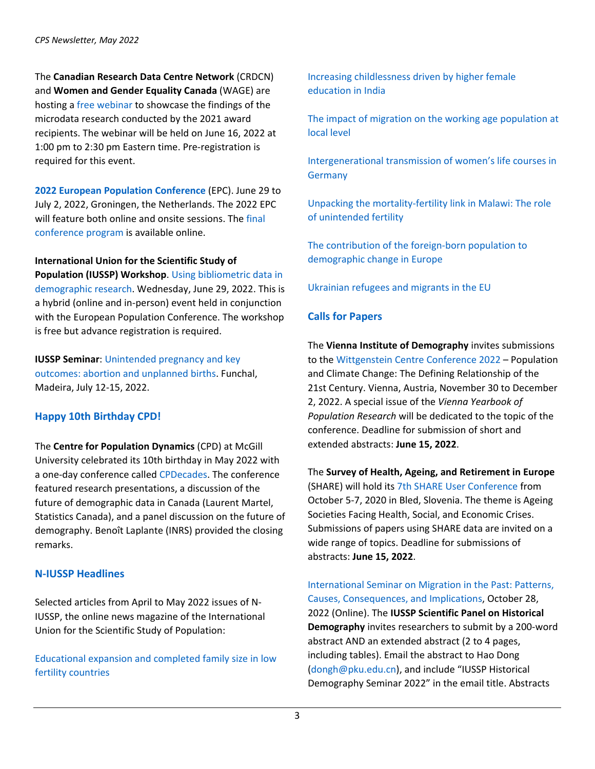The **Canadian Research Data Centre Network** (CRDCN) and **Women and Gender Equality Canada** (WAGE) are hosting a [free webinar](https://www.eventbrite.ca/e/crdcn-wage-award-recipients-webinarwebinaire-des-laureats-rccdr-fegc-tickets-338232521577?aff=CRDCNWebsite) to showcase the findings of the microdata research conducted by the 2021 award recipients. The webinar will be held on June 16, 2022 at 1:00 pm to 2:30 pm Eastern time. Pre-registration is required for this event.

**[2022 European Population Conference](https://www.eaps.nl/epc/european-population-conference-2022)** (EPC). June 29 to July 2, 2022, Groningen, the Netherlands. The 2022 EPC will feature both online and onsite sessions. Th[e final](https://epc2022.eaps.nl/)  [conference program](https://epc2022.eaps.nl/) is available online.

**International Union for the Scientific Study of Population (IUSSP) Workshop**[. Using bibliometric data in](https://iussp.org/en/using-bibliometric-data-demographic-research)  [demographic research.](https://iussp.org/en/using-bibliometric-data-demographic-research) Wednesday, June 29, 2022. This is a hybrid (online and in-person) event held in conjunction with the European Population Conference. The workshop is free but advance registration is required.

**IUSSP Seminar**: [Unintended pregnancy and key](https://iussp.org/en/iussp-seminar-unintended-pregnancy-and-key-outcomes%E2%80%94abortion-and-unplanned-births)  outcomes: [abortion and unplanned births.](https://iussp.org/en/iussp-seminar-unintended-pregnancy-and-key-outcomes%E2%80%94abortion-and-unplanned-births) Funchal, Madeira, July 12-15, 2022.

# **Happy 10th Birthday CPD!**

The **Centre for Population Dynamics** (CPD) at McGill University celebrated its 10th birthday in May 2022 with a one-day conference called [CPDecades.](https://www.mcgill.ca/popcentre/events/conferences) The conference featured research presentations, a discussion of the future of demographic data in Canada (Laurent Martel, Statistics Canada), and a panel discussion on the future of demography. Benoît Laplante (INRS) provided the closing remarks.

# **N-IUSSP Headlines**

Selected articles from April to May 2022 issues of N-IUSSP, the online news magazine of the International Union for the Scientific Study of Population:

[Educational expansion and completed family size in low](https://www.niussp.org/fertility-and-reproduction/educational-expansion-and-completed-family-size-in-low-fertility-countries/)  [fertility countries](https://www.niussp.org/fertility-and-reproduction/educational-expansion-and-completed-family-size-in-low-fertility-countries/)

[Increasing childlessness driven by higher female](https://www.niussp.org/fertility-and-reproduction/increasing-childlessness-driven-by-higher-female-education-in-india/)  [education in India](https://www.niussp.org/fertility-and-reproduction/increasing-childlessness-driven-by-higher-female-education-in-india/)

[The impact of migration on the working age population at](https://www.niussp.org/individual-and-population-ageing/the-impact-of-migration-on-the-working-age-population-at-local-level/)  [local level](https://www.niussp.org/individual-and-population-ageing/the-impact-of-migration-on-the-working-age-population-at-local-level/)

[Intergenerational transmission of women's life courses in](https://www.niussp.org/gender-issues/intergenerational-transmission-of-womens-life-courses-in-germany/)  **[Germany](https://www.niussp.org/gender-issues/intergenerational-transmission-of-womens-life-courses-in-germany/)** 

[Unpacking the mortality-fertility link in Malawi: The role](https://www.niussp.org/fertility-and-reproduction/unpacking-the-mortality-fertility-link-in-malawi-the-role-of-unintended-fertility/)  [of unintended fertility](https://www.niussp.org/fertility-and-reproduction/unpacking-the-mortality-fertility-link-in-malawi-the-role-of-unintended-fertility/)

[The contribution of the foreign-born population to](https://www.niussp.org/migration-and-foreigners/the-contribution-of-the-foreign-born-population-to-demographic-change-in-europe/)  [demographic change in Europe](https://www.niussp.org/migration-and-foreigners/the-contribution-of-the-foreign-born-population-to-demographic-change-in-europe/)

[Ukrainian refugees and migrants in the EU](https://www.niussp.org/migration-and-foreigners/ukrainian-refugees-and-migrants-in-the-eu/)

# **Calls for Papers**

The **Vienna Institute of Demography** invites submissions to the [Wittgenstein Centre Conference 2022](https://www.oeaw.ac.at/en/vid/events/calendar/conferences/population-and-climate-change-the-defining-relationship-of-the-21st-century) – Population and Climate Change: The Defining Relationship of the 21st Century. Vienna, Austria, November 30 to December 2, 2022. A special issue of the *Vienna Yearbook of Population Research* will be dedicated to the topic of the conference. Deadline for submission of short and extended abstracts: **June 15, 2022**.

The **Survey of Health, Ageing, and Retirement in Europe** (SHARE) will hold its [7th SHARE User Conference](https://www.shareuser2022.si/) from October 5-7, 2020 in Bled, Slovenia. The theme is Ageing Societies Facing Health, Social, and Economic Crises. Submissions of papers using SHARE data are invited on a wide range of topics. Deadline for submissions of abstracts: **June 15, 2022**.

[International Seminar on Migration in the Past: Patterns,](https://iussp.org/en/iussp-seminar-migration-past-patterns-causes-consequences-and-implications)  [Causes, Consequences, and Implications,](https://iussp.org/en/iussp-seminar-migration-past-patterns-causes-consequences-and-implications) October 28, 2022 (Online). The **IUSSP Scientific Panel on Historical Demography** invites researchers to submit by a 200-word abstract AND an extended abstract (2 to 4 pages, including tables). Email the abstract to Hao Dong [\(dongh@pku.edu.cn\)](mailto:dongh@pku.edu.cn), and include "IUSSP Historical Demography Seminar 2022" in the email title. Abstracts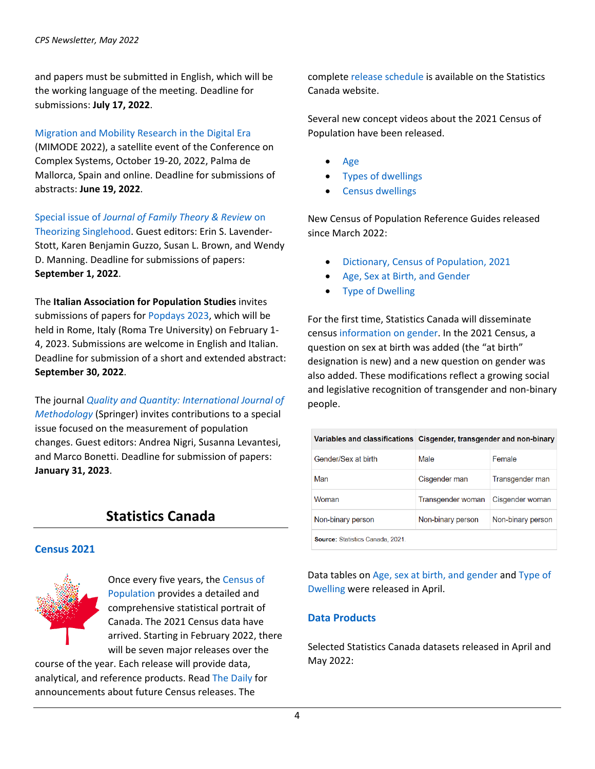and papers must be submitted in English, which will be the working language of the meeting. Deadline for submissions: **July 17, 2022**.

#### [Migration and Mobility Research in the Digital Era](https://www.demogr.mpg.de/en/news_events_6123/news_press_releases_4630/news/migration_and_mobility_research_in_the_digital_era_mimode_2022_10728)

(MIMODE 2022), a satellite event of the Conference on Complex Systems, October 19-20, 2022, Palma de Mallorca, Spain and online. Deadline for submissions of abstracts: **June 19, 2022**.

Special issue of *[Journal of Family Theory & Review](https://www.bgsu.edu/arts-and-sciences/center-for-family-demographic-research/help-resources-tools/call-for-papers-JFTR-singlehood.html)* on

[Theorizing Singlehood.](https://www.bgsu.edu/arts-and-sciences/center-for-family-demographic-research/help-resources-tools/call-for-papers-JFTR-singlehood.html) Guest editors: Erin S. Lavender-Stott, Karen Benjamin Guzzo, Susan L. Brown, and Wendy D. Manning. Deadline for submissions of papers: **September 1, 2022**.

The **Italian Association for Population Studies** invites submissions of papers fo[r Popdays 2023,](https://www.sis-aisp.it/popsday2023-announcment/) which will be held in Rome, Italy (Roma Tre University) on February 1- 4, 2023. Submissions are welcome in English and Italian. Deadline for submission of a short and extended abstract: **September 30, 2022**.

The journal *[Quality and Quantity: International Journal of](https://www.springer.com/journal/11135/updates/20246652)  [Methodology](https://www.springer.com/journal/11135/updates/20246652)* (Springer) invites contributions to a special issue focused on the measurement of population changes. Guest editors: Andrea Nigri, Susanna Levantesi, and Marco Bonetti. Deadline for submission of papers: **January 31, 2023**.

# **Statistics Canada**

#### **Census 2021**



Once every five years, the [Census of](https://www12.statcan.gc.ca/census-recensement/index-eng.cfm?MM=1)  [Population](https://www12.statcan.gc.ca/census-recensement/index-eng.cfm?MM=1) provides a detailed and comprehensive statistical portrait of Canada. The 2021 Census data have arrived. Starting in February 2022, there will be seven major releases over the

course of the year. Each release will provide data, analytical, and reference products. Rea[d The Daily](https://www150.statcan.gc.ca/n1/dai-quo/index-eng.htm?HPA=1) for announcements about future Census releases. The

complete [release schedule](https://www12.statcan.gc.ca/census-recensement/2021/ref/prodserv/release-diffusion-eng.cfm) is available on the Statistics Canada website.

Several new concept videos about the 2021 Census of Population have been released.

- [Age](https://www12.statcan.gc.ca/census-recensement/training-formation/videos/Age-eng.htm)
- [Types of dwellings](https://www12.statcan.gc.ca/census-recensement/training-formation/videos/Types-of-dwellings.htm)
- [Census dwellings](https://www12.statcan.gc.ca/census-recensement/training-formation/videos/Census-dwellings.htm)

New Census of Population Reference Guides released since March 2022:

- [Dictionary, Census of Population, 2021](https://www150.statcan.gc.ca/n1/en/catalogue/98-301-X)
- [Age, Sex at Birth, and Gender](https://www12.statcan.gc.ca/census-recensement/2021/ref/98-500/014/98-500-x2021014-eng.cfm)
- **[Type of Dwelling](https://www12.statcan.gc.ca/census-recensement/2021/ref/98-500/001/98-500-x2021001-eng.cfm)**

For the first time, Statistics Canada will disseminate censu[s information on gender.](https://www12.statcan.gc.ca/census-recensement/2021/ref/98-20-0001/982000012021001-eng.cfm) In the 2021 Census, a question on sex at birth was added (the "at birth" designation is new) and a new question on gender was also added. These modifications reflect a growing social and legislative recognition of transgender and non-binary people.

|                                         | Variables and classifications   Cisgender, transgender and non-binary |                   |
|-----------------------------------------|-----------------------------------------------------------------------|-------------------|
| Gender/Sex at birth                     | Male                                                                  | Female            |
| Man                                     | Cisgender man                                                         | Transgender man   |
| Woman                                   | Transgender woman                                                     | Cisgender woman   |
| Non-binary person                       | Non-binary person                                                     | Non-binary person |
| <b>Source: Statistics Canada, 2021.</b> |                                                                       |                   |

Data tables on [Age, sex at birth, and gender](https://www12.statcan.gc.ca/census-recensement/2021/dp-pd/dt-td/Index-eng.cfm?LANG=E&SUB=98P1001&SR=0&RPP=10&SORT=date) and [Type of](https://www12.statcan.gc.ca/census-recensement/2021/dp-pd/dt-td/Index-eng.cfm?Lang=E&SUB=98P1018&SR=0&RPP=10&SORT=date)  [Dwelling](https://www12.statcan.gc.ca/census-recensement/2021/dp-pd/dt-td/Index-eng.cfm?Lang=E&SUB=98P1018&SR=0&RPP=10&SORT=date) were released in April.

#### **Data Products**

Selected Statistics Canada datasets released in April and May 2022: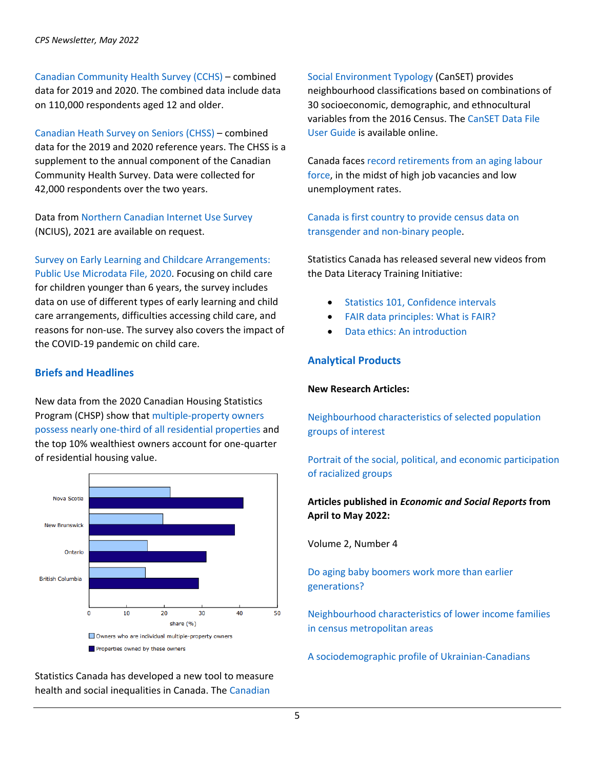[Canadian Community Health Survey \(CCHS\)](https://www150.statcan.gc.ca/n1/daily-quotidien/220419/dq220419d-eng.htm) – combined data for 2019 and 2020. The combined data include data on 110,000 respondents aged 12 and older.

[Canadian Heath Survey on Seniors \(CHSS\)](https://www150.statcan.gc.ca/n1/daily-quotidien/220419/dq220419c-eng.htm) – combined data for the 2019 and 2020 reference years. The CHSS is a supplement to the annual component of the Canadian Community Health Survey. Data were collected for 42,000 respondents over the two years.

Data fro[m Northern Canadian Internet Use Survey](https://www150.statcan.gc.ca/n1/daily-quotidien/220518/dq220518g-eng.htm) (NCIUS), 2021 are available on request.

[Survey on Early Learning and Childcare Arrangements:](https://www150.statcan.gc.ca/n1/en/catalogue/42250001)  [Public Use Microdata File, 2020.](https://www150.statcan.gc.ca/n1/en/catalogue/42250001) Focusing on child care for children younger than 6 years, the survey includes data on use of different types of early learning and child care arrangements, difficulties accessing child care, and reasons for non-use. The survey also covers the impact of the COVID-19 pandemic on child care.

## **Briefs and Headlines**

New data from the 2020 Canadian Housing Statistics Program (CHSP) show tha[t multiple-property owners](https://www150.statcan.gc.ca/n1/daily-quotidien/220412/dq220412a-eng.htm)  [possess nearly one-third of all residential properties](https://www150.statcan.gc.ca/n1/daily-quotidien/220412/dq220412a-eng.htm) and the top 10% wealthiest owners account for one-quarter of residential housing value.



Statistics Canada has developed a new tool to measure health and social inequalities in Canada. The [Canadian](https://www150.statcan.gc.ca/n1/daily-quotidien/220509/dq220509c-eng.htm) 

[Social Environment Typology](https://www150.statcan.gc.ca/n1/daily-quotidien/220509/dq220509c-eng.htm) (CanSET) provides neighbourhood classifications based on combinations of 30 socioeconomic, demographic, and ethnocultural variables from the 2016 Census. Th[e CanSET Data File](https://www150.statcan.gc.ca/n1/pub/17-20-0002/172000022022001-eng.htm)  [User Guide](https://www150.statcan.gc.ca/n1/pub/17-20-0002/172000022022001-eng.htm) is available online.

Canada faces [record retirements from an aging labour](https://www150.statcan.gc.ca/n1/daily-quotidien/220427/dq220427a-eng.htm)  [force,](https://www150.statcan.gc.ca/n1/daily-quotidien/220427/dq220427a-eng.htm) in the midst of high job vacancies and low unemployment rates.

[Canada is first country to provide census data on](https://www150.statcan.gc.ca/n1/daily-quotidien/220427/dq220427b-eng.htm)  [transgender and non-binary people.](https://www150.statcan.gc.ca/n1/daily-quotidien/220427/dq220427b-eng.htm)

Statistics Canada has released several new videos from the Data Literacy Training Initiative:

- [Statistics 101, Confidence intervals](https://www150.statcan.gc.ca/n1/en/catalogue/892000062022003)
- [FAIR data principles: What is FAIR?](https://www150.statcan.gc.ca/n1/en/catalogue/892000062022002)
- [Data ethics: An introduction](https://www150.statcan.gc.ca/n1/en/catalogue/892000062022001)

## **Analytical Products**

#### **New Research Articles:**

[Neighbourhood characteristics of selected population](https://www150.statcan.gc.ca/n1/pub/11-633-x/11-633-x2022004-eng.htm)  [groups of interest](https://www150.statcan.gc.ca/n1/pub/11-633-x/11-633-x2022004-eng.htm)

[Portrait of the social, political, and economic participation](https://www150.statcan.gc.ca/n1/daily-quotidien/220517/dq220517c-eng.htm)  [of racialized groups](https://www150.statcan.gc.ca/n1/daily-quotidien/220517/dq220517c-eng.htm)

# **Articles published in** *Economic and Social Reports* **from April to May 2022:**

Volume 2, Number 4

[Do aging baby boomers work more than earlier](https://www150.statcan.gc.ca/n1/en/catalogue/36280001202200400001)  [generations?](https://www150.statcan.gc.ca/n1/en/catalogue/36280001202200400001)

[Neighbourhood characteristics of lower income families](https://www150.statcan.gc.ca/n1/en/catalogue/36280001202200400002)  [in census metropolitan areas](https://www150.statcan.gc.ca/n1/en/catalogue/36280001202200400002)

[A sociodemographic profile of Ukrainian-Canadians](https://www150.statcan.gc.ca/n1/en/catalogue/36280001202200400003)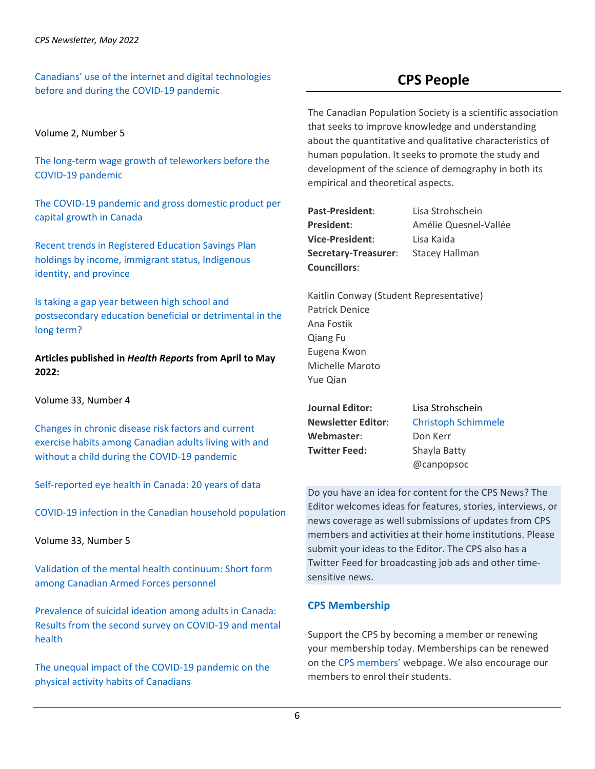[Canadians' use of the internet and digital technologies](https://www150.statcan.gc.ca/n1/en/catalogue/36280001202200400004)  [before and during the COVID-19 pandemic](https://www150.statcan.gc.ca/n1/en/catalogue/36280001202200400004)

# **CPS People**

Volume 2, Number 5

[The long-term wage growth of teleworkers before the](https://www150.statcan.gc.ca/n1/en/catalogue/36280001202200500001)  [COVID-19 pandemic](https://www150.statcan.gc.ca/n1/en/catalogue/36280001202200500001)

[The COVID-19 pandemic and gross domestic product per](https://www150.statcan.gc.ca/n1/en/catalogue/36280001202200500002)  [capital growth in Canada](https://www150.statcan.gc.ca/n1/en/catalogue/36280001202200500002)

[Recent trends in Registered Education Savings Plan](https://www150.statcan.gc.ca/n1/en/catalogue/36280001202200500003)  [holdings by income, immigrant status, Indigenous](https://www150.statcan.gc.ca/n1/en/catalogue/36280001202200500003)  [identity, and province](https://www150.statcan.gc.ca/n1/en/catalogue/36280001202200500003)

[Is taking a gap year between high school and](https://www150.statcan.gc.ca/n1/en/catalogue/36280001202200500004)  [postsecondary education beneficial or detrimental in the](https://www150.statcan.gc.ca/n1/en/catalogue/36280001202200500004)  [long term?](https://www150.statcan.gc.ca/n1/en/catalogue/36280001202200500004) 

**Articles published in** *Health Reports* **from April to May 2022:**

Volume 33, Number 4

[Changes in chronic disease risk factors and current](https://www150.statcan.gc.ca/n1/en/catalogue/82-003-X202200400001)  [exercise habits among Canadian adults living with and](https://www150.statcan.gc.ca/n1/en/catalogue/82-003-X202200400001)  [without a child during the COVID-19 pandemic](https://www150.statcan.gc.ca/n1/en/catalogue/82-003-X202200400001)

[Self-reported eye health in Canada:](https://www150.statcan.gc.ca/n1/en/catalogue/82-003-X202200400002) 20 years of data

[COVID-19 infection in the Canadian household population](https://www150.statcan.gc.ca/n1/en/catalogue/82-003-X202200400003)

Volume 33, Number 5

[Validation of the mental health continuum: Short form](https://www150.statcan.gc.ca/n1/en/catalogue/82-003-X202200500001)  [among Canadian Armed Forces personnel](https://www150.statcan.gc.ca/n1/en/catalogue/82-003-X202200500001)

[Prevalence of suicidal ideation among adults in Canada:](https://www150.statcan.gc.ca/n1/en/catalogue/82-003-X202200500002)  Results [from the second survey on COVID-19 and mental](https://www150.statcan.gc.ca/n1/en/catalogue/82-003-X202200500002)  [health](https://www150.statcan.gc.ca/n1/en/catalogue/82-003-X202200500002)

[The unequal impact of the COVID-19 pandemic on the](https://www150.statcan.gc.ca/n1/en/catalogue/82-003-X202200500003)  [physical activity habits of Canadians](https://www150.statcan.gc.ca/n1/en/catalogue/82-003-X202200500003)

The Canadian Population Society is a scientific association that seeks to improve knowledge and understanding about the quantitative and qualitative characteristics of human population. It seeks to promote the study and development of the science of demography in both its empirical and theoretical aspects.

**Past-President**: Lisa Strohschein **Vice-President**: Lisa Kaida **Secretary-Treasurer**: Stacey Hallman **Councillors**:

**President**: Amélie Quesnel-Vallée

Kaitlin Conway (Student Representative) Patrick Denice Ana Fostik Qiang Fu Eugena Kwon Michelle Maroto Yue Qian

**Journal Editor:** Lisa Strohschein Webmaster: Don Kerr **Twitter Feed:** Shayla Batty

**Newsletter Editor**: [Christoph Schimmele](mailto:cschimmele@hotmail.com) @canpopsoc

Do you have an idea for content for the CPS News? The Editor welcomes ideas for features, stories, interviews, or news coverage as well submissions of updates from CPS members and activities at their home institutions. Please submit your ideas to the Editor. The CPS also has a Twitter Feed for broadcasting job ads and other timesensitive news.

# **CPS Membership**

Support the CPS by becoming a member or renewing your membership today. Memberships can be renewed on the [CPS members'](https://www.canpopsoc.ca/members/?display=login&returnURL=https%3A%2F%2Fwww%2Ecanpopsoc%2Eca%2Fmembers%2F) webpage. We also encourage our members to enrol their students.